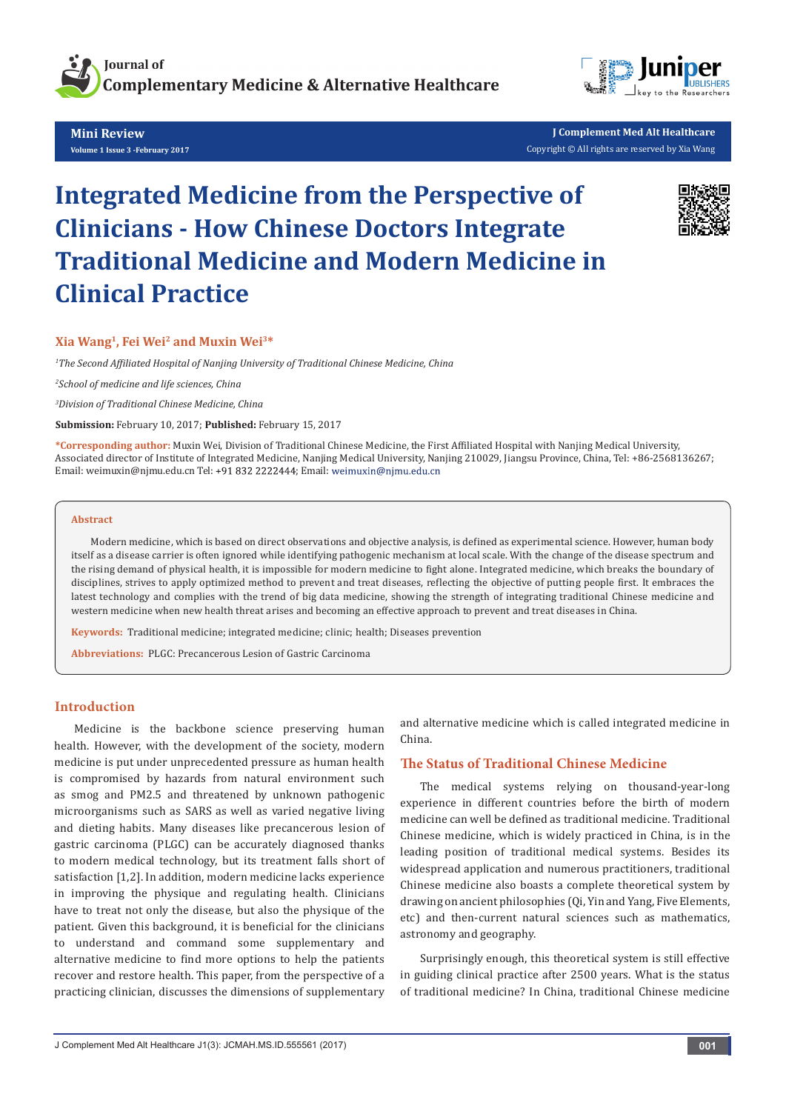

**Mini Review Volume 1 Issue 3 -February 2017**



**J Complement Med Alt Healthcare** Copyright © All rights are reserved by Xia Wang

# **Integrated Medicine from the Perspective of Clinicians - How Chinese Doctors Integrate Traditional Medicine and Modern Medicine in Clinical Practice**



## **Xia Wang1, Fei Wei2 and Muxin Wei3\***

*1 The Second Affiliated Hospital of Nanjing University of Traditional Chinese Medicine, China*

*2 School of medicine and life sciences, China*

*3 Division of Traditional Chinese Medicine, China*

**Submission:** February 10, 2017; **Published:** February 15, 2017

**\*Corresponding author:** Muxin Wei, Division of Traditional Chinese Medicine, the First Affiliated Hospital with Nanjing Medical University, Associated director of Institute of Integrated Medicine, Nanjing Medical University, Nanjing 210029, Jiangsu Province, China, Tel: +86-2568136267; Email: weimuxin@njmu.edu.cn Tel: +91 832 2222444; Email: weimuxin@njmu.edu.cn

#### **Abstract**

Modern medicine, which is based on direct observations and objective analysis, is defined as experimental science. However, human body itself as a disease carrier is often ignored while identifying pathogenic mechanism at local scale. With the change of the disease spectrum and the rising demand of physical health, it is impossible for modern medicine to fight alone. Integrated medicine, which breaks the boundary of disciplines, strives to apply optimized method to prevent and treat diseases, reflecting the objective of putting people first. It embraces the latest technology and complies with the trend of big data medicine, showing the strength of integrating traditional Chinese medicine and western medicine when new health threat arises and becoming an effective approach to prevent and treat diseases in China.

**Keywords:** Traditional medicine; integrated medicine; clinic; health; Diseases prevention

**Abbreviations:** PLGC: Precancerous Lesion of Gastric Carcinoma

## **Introduction**

Medicine is the backbone science preserving human health. However, with the development of the society, modern medicine is put under unprecedented pressure as human health is compromised by hazards from natural environment such as smog and PM2.5 and threatened by unknown pathogenic microorganisms such as SARS as well as varied negative living and dieting habits. Many diseases like precancerous lesion of gastric carcinoma (PLGC) can be accurately diagnosed thanks to modern medical technology, but its treatment falls short of satisfaction [1,2]. In addition, modern medicine lacks experience in improving the physique and regulating health. Clinicians have to treat not only the disease, but also the physique of the patient. Given this background, it is beneficial for the clinicians to understand and command some supplementary and alternative medicine to find more options to help the patients recover and restore health. This paper, from the perspective of a practicing clinician, discusses the dimensions of supplementary

and alternative medicine which is called integrated medicine in China.

## **The Status of Traditional Chinese Medicine**

The medical systems relying on thousand-year-long experience in different countries before the birth of modern medicine can well be defined as traditional medicine. Traditional Chinese medicine, which is widely practiced in China, is in the leading position of traditional medical systems. Besides its widespread application and numerous practitioners, traditional Chinese medicine also boasts a complete theoretical system by drawing on ancient philosophies (Qi, Yin and Yang, Five Elements, etc) and then-current natural sciences such as mathematics, astronomy and geography.

Surprisingly enough, this theoretical system is still effective in guiding clinical practice after 2500 years. What is the status of traditional medicine? In China, traditional Chinese medicine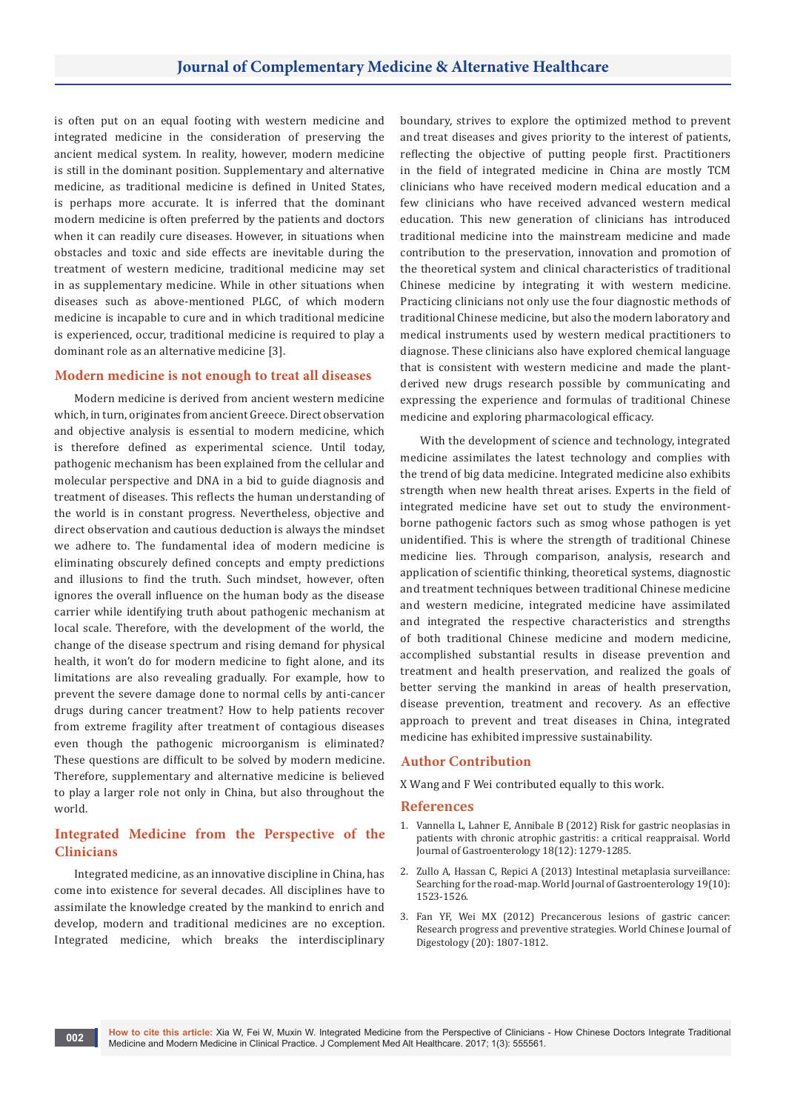is often put on an equal footing with western medicine and integrated medicine in the consideration of preserving the ancient medical system. In reality, however, modern medicine is still in the dominant position. Supplementary and alternative medicine, as traditional medicine is defined in United States, is perhaps more accurate. It is inferred that the dominant modern medicine is often preferred by the patients and doctors when it can readily cure diseases. However, in situations when obstacles and toxic and side effects are inevitable during the treatment of western medicine, traditional medicine may set in as supplementary medicine. While in other situations when diseases such as above-mentioned PLGC, of which modern medicine is incapable to cure and in which traditional medicine is experienced, occur, traditional medicine is required to play a dominant role as an alternative medicine [3].

#### **Modern medicine is not enough to treat all diseases**

Modern medicine is derived from ancient western medicine which, in turn, originates from ancient Greece. Direct observation and objective analysis is essential to modern medicine, which is therefore defined as experimental science. Until today, pathogenic mechanism has been explained from the cellular and molecular perspective and DNA in a bid to guide diagnosis and treatment of diseases. This reflects the human understanding of the world is in constant progress. Nevertheless, objective and direct observation and cautious deduction is always the mindset we adhere to. The fundamental idea of modern medicine is eliminating obscurely defined concepts and empty predictions and illusions to find the truth. Such mindset, however, often ignores the overall influence on the human body as the disease carrier while identifying truth about pathogenic mechanism at local scale. Therefore, with the development of the world, the change of the disease spectrum and rising demand for physical health, it won't do for modern medicine to fight alone, and its limitations are also revealing gradually. For example, how to prevent the severe damage done to normal cells by anti-cancer drugs during cancer treatment? How to help patients recover from extreme fragility after treatment of contagious diseases even though the pathogenic microorganism is eliminated? These questions are difficult to be solved by modern medicine. Therefore, supplementary and alternative medicine is believed to play a larger role not only in China, but also throughout the world.

## **Integrated Medicine from the Perspective of the Clinicians**

Integrated medicine, as an innovative discipline in China, has come into existence for several decades. All disciplines have to assimilate the knowledge created by the mankind to enrich and develop, modern and traditional medicines are no exception. Integrated medicine, which breaks the interdisciplinary boundary, strives to explore the optimized method to prevent and treat diseases and gives priority to the interest of patients, reflecting the objective of putting people first. Practitioners in the field of integrated medicine in China are mostly TCM clinicians who have received modern medical education and a few clinicians who have received advanced western medical education. This new generation of clinicians has introduced traditional medicine into the mainstream medicine and made contribution to the preservation, innovation and promotion of the theoretical system and clinical characteristics of traditional Chinese medicine by integrating it with western medicine. Practicing clinicians not only use the four diagnostic methods of traditional Chinese medicine, but also the modern laboratory and medical instruments used by western medical practitioners to diagnose. These clinicians also have explored chemical language that is consistent with western medicine and made the plantderived new drugs research possible by communicating and expressing the experience and formulas of traditional Chinese medicine and exploring pharmacological efficacy.

With the development of science and technology, integrated medicine assimilates the latest technology and complies with the trend of big data medicine. Integrated medicine also exhibits strength when new health threat arises. Experts in the field of integrated medicine have set out to study the environmentborne pathogenic factors such as smog whose pathogen is yet unidentified. This is where the strength of traditional Chinese medicine lies. Through comparison, analysis, research and application of scientific thinking, theoretical systems, diagnostic and treatment techniques between traditional Chinese medicine and western medicine, integrated medicine have assimilated and integrated the respective characteristics and strengths of both traditional Chinese medicine and modern medicine, accomplished substantial results in disease prevention and treatment and health preservation, and realized the goals of better serving the mankind in areas of health preservation, disease prevention, treatment and recovery. As an effective approach to prevent and treat diseases in China, integrated medicine has exhibited impressive sustainability.

## **Author Contribution**

X Wang and F Wei contributed equally to this work.

## **References**

- 1. [Vannella L, Lahner E, Annibale B \(2012\) Risk for gastric neoplasias in](https://www.ncbi.nlm.nih.gov/pmc/articles/PMC3319954/)  [patients with chronic atrophic gastritis: a critical reappraisal. World](https://www.ncbi.nlm.nih.gov/pmc/articles/PMC3319954/)  [Journal of Gastroenterology 18\(12\): 1279-1285.](https://www.ncbi.nlm.nih.gov/pmc/articles/PMC3319954/)
- 2. [Zullo A, Hassan C, Repici A \(2013\) Intestinal metaplasia surveillance:](https://www.ncbi.nlm.nih.gov/pmc/articles/PMC3602469/)  [Searching for the road-map. World Journal of Gastroenterology 19\(10\):](https://www.ncbi.nlm.nih.gov/pmc/articles/PMC3602469/)  [1523-1526.](https://www.ncbi.nlm.nih.gov/pmc/articles/PMC3602469/)
- 3. Fan YF, Wei MX (2012) Precancerous lesions of gastric cancer: Research progress and preventive strategies. World Chinese Journal of Digestology (20): 1807-1812.